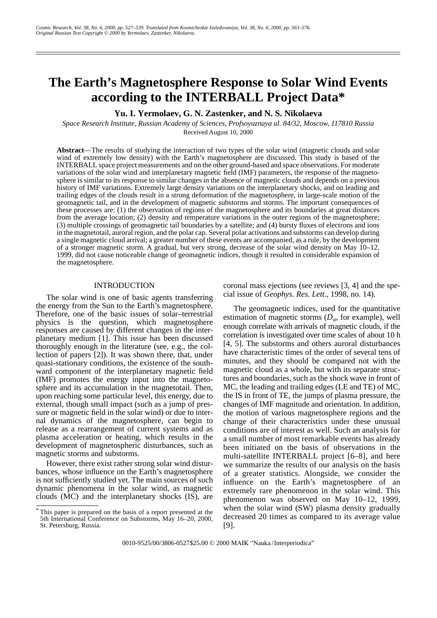# **The Earth's Magnetosphere Response to Solar Wind Events according to the INTERBALL Project Data\***

**Yu. I. Yermolaev, G. N. Zastenker, and N. S. Nikolaeva**

*Space Research Institute, Russian Academy of Sciences, Profsoyuznaya ul. 84/32, Moscow, 117810 Russia* Received August 10, 2000

**Abstract**—The results of studying the interaction of two types of the solar wind (magnetic clouds and solar wind of extremely low density) with the Earth's magnetosphere are discussed. This study is based of the INTERBALL space project measurements and on the other ground-based and space observations. For moderate variations of the solar wind and interplanetary magnetic field (IMF) parameters, the response of the magnetosphere is similar to its response to similar changes in the absence of magnetic clouds and depends on a previous history of IMF variations. Extremely large density variations on the interplanetary shocks, and on leading and trailing edges of the clouds result in a strong deformation of the magnetosphere, in large-scale motion of the geomagnetic tail, and in the development of magnetic substorms and storms. The important consequences of these processes are: (1) the observation of regions of the magnetosphere and its boundaries at great distances from the average location; (2) density and temperature variations in the outer regions of the magnetosphere; (3) multiple crossings of geomagnetic tail boundaries by a satellite; and (4) bursty fluxes of electrons and ions in the magnetotail, auroral region, and the polar cap. Several polar activations and substorms can develop during a single magnetic cloud arrival; a greater number of these events are accompanied, as a rule, by the development of a stronger magnetic storm. A gradual, but very strong, decrease of the solar wind density on May 10–12, 1999, did not cause noticeable change of geomagnetic indices, though it resulted in considerable expansion of the magnetosphere.

### **INTRODUCTION**

The solar wind is one of basic agents transferring the energy from the Sun to the Earth's magnetosphere. Therefore, one of the basic issues of solar–terrestrial physics is the question, which magnetosphere responses are caused by different changes in the interplanetary medium [1]. This issue has been discussed thoroughly enough in the literature (see, e.g., the collection of papers [2]). It was shown there, that, under quasi-stationary conditions, the existence of the southward component of the interplanetary magnetic field (IMF) promotes the energy input into the magnetosphere and its accumulation in the magnetotail. Then, upon reaching some particular level, this energy, due to external, though small impact (such as a jump of pressure or magnetic field in the solar wind) or due to internal dynamics of the magnetosphere, can begin to release as a rearrangement of current systems and as plasma acceleration or heating, which results in the development of magnetospheric disturbances, such as magnetic storms and substorms.

However, there exist rather strong solar wind disturbances, whose influence on the Earth's magnetosphere is not sufficiently studied yet. The main sources of such dynamic phenomena in the solar wind, as magnetic clouds (MC) and the interplanetary shocks (IS), are

coronal mass ejections (see reviews [3, 4] and the special issue of *Geophys. Res. Lett.*, 1998, no. 14).

The geomagnetic indices, used for the quantitative estimation of magnetic storms  $(D_{st}$ , for example), well enough correlate with arrivals of magnetic clouds, if the correlation is investigated over time scales of about 10 h [4, 5]. The substorms and others auroral disturbances have characteristic times of the order of several tens of minutes, and they should be compared not with the magnetic cloud as a whole, but with its separate structures and boundaries, such as the shock wave in front of MC, the leading and trailing edges (LE and TE) of MC, the IS in front of TE, the jumps of plasma pressure, the changes of IMF magnitude and orientation. In addition, the motion of various magnetosphere regions and the change of their characteristics under these unusual conditions are of interest as well. Such an analysis for a small number of most remarkable events has already been initiated on the basis of observations in the multi-satellite INTERBALL project [6–8], and here we summarize the results of our analysis on the basis of a greater statistics. Alongside, we consider the influence on the Earth's magnetosphere of an extremely rare phenomenon in the solar wind. This phenomenon was observed on May 10–12, 1999, when the solar wind (SW) plasma density gradually decreased 20 times as compared to its average value [9].

This paper is prepared on the basis of a report presented at the 5th International Conference on Substorms, May 16–20, 2000, St. Petersburg, Russia.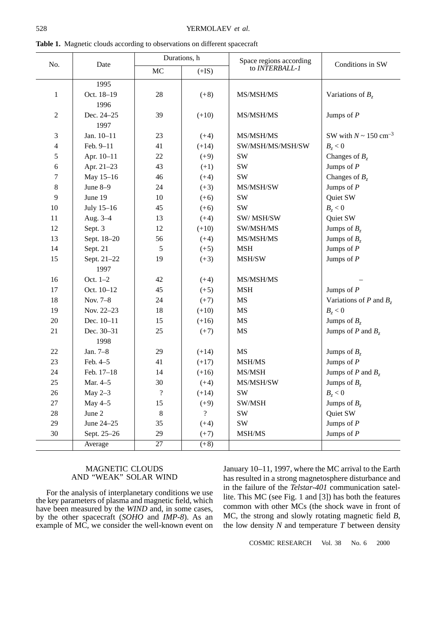|                |             | Durations, h       |          | Space regions according                                                                                                         | Conditions in SW                      |  |
|----------------|-------------|--------------------|----------|---------------------------------------------------------------------------------------------------------------------------------|---------------------------------------|--|
| No.            | Date        | MC                 | $(+IS)$  | to INTERBALL-1                                                                                                                  |                                       |  |
|                | 1995        |                    |          |                                                                                                                                 |                                       |  |
| $\mathbf{1}$   | Oct. 18-19  | 28                 | $(+8)$   | MS/MSH/MS                                                                                                                       | Variations of $B_z$                   |  |
|                | 1996        |                    |          |                                                                                                                                 |                                       |  |
| $\overline{2}$ | Dec. 24-25  | 39                 | $(+10)$  | MS/MSH/MS                                                                                                                       | Jumps of $P$                          |  |
|                | 1997        |                    |          |                                                                                                                                 |                                       |  |
| $\mathfrak{Z}$ | Jan. 10-11  | 23                 | $(+4)$   | MS/MSH/MS                                                                                                                       | SW with $N \sim 150$ cm <sup>-3</sup> |  |
| $\overline{4}$ | Feb. 9-11   | 41                 | $(+14)$  | SW/MSH/MS/MSH/SW                                                                                                                | $B_z < 0$                             |  |
| 5              | Apr. 10-11  | 22                 | $(+9)$   | <b>SW</b>                                                                                                                       | Changes of $B_7$                      |  |
| 6              | Apr. 21-23  | 43                 | $(+1)$   | <b>SW</b>                                                                                                                       | Jumps of $P$                          |  |
| 7              | May 15-16   | 46                 | $(+4)$   | <b>SW</b>                                                                                                                       | Changes of $B_z$                      |  |
| $\,8\,$        | June 8-9    | 24                 | $(+3)$   | MS/MSH/SW                                                                                                                       | Jumps of $P$                          |  |
| 9              | June 19     | 10                 | $(+6)$   | <b>SW</b>                                                                                                                       | Quiet SW                              |  |
| 10             | July 15-16  | 45                 | $(+6)$   | <b>SW</b>                                                                                                                       | $B_z < 0$                             |  |
| 11             | Aug. 3-4    | 13                 | $(+4)$   | SW/MSH/SW                                                                                                                       | Quiet SW                              |  |
| 12             | Sept. 3     | 12                 | $(+10)$  | SW/MSH/MS                                                                                                                       | Jumps of $B_z$                        |  |
| 13             | Sept. 18-20 | 56                 | $(+4)$   | MS/MSH/MS                                                                                                                       | Jumps of $B_z$                        |  |
| 14             | Sept. 21    | 5                  | $(+5)$   | <b>MSH</b>                                                                                                                      | Jumps of $P$                          |  |
| 15             | Sept. 21-22 | 19                 | $(+3)$   | MSH/SW                                                                                                                          | Jumps of $P$                          |  |
|                | 1997        |                    |          |                                                                                                                                 |                                       |  |
| 16             | Oct. 1-2    | 42                 | $(+4)$   | MS/MSH/MS                                                                                                                       |                                       |  |
| 17             | Oct. 10-12  | 45                 | $(+5)$   | <b>MSH</b>                                                                                                                      | Jumps of $P$                          |  |
| 18             | Nov. 7-8    | 24                 | $(+7)$   | <b>MS</b>                                                                                                                       | Variations of P and $B_z$             |  |
| 19             | Nov. 22-23  | 18                 | $(+10)$  | <b>MS</b>                                                                                                                       | $B_{7}$ < 0                           |  |
| 20             | Dec. 10-11  | 15                 | $(+16)$  | <b>MS</b>                                                                                                                       | Jumps of $B_z$                        |  |
| 21             | Dec. 30-31  | 25                 | $(+7)$   | MS                                                                                                                              | Jumps of $P$ and $B_z$                |  |
|                | 1998        |                    |          |                                                                                                                                 |                                       |  |
| $22\,$         | Jan. 7-8    | 29                 | $(+14)$  | MS                                                                                                                              | Jumps of $B_z$                        |  |
| 23             | Feb. 4-5    | 41                 | $(+17)$  | MSH/MS                                                                                                                          | Jumps of $P$                          |  |
| 24             | Feb. 17-18  | 14                 | $(+16)$  | MS/MSH                                                                                                                          | Jumps of $P$ and $B_z$                |  |
| 25             | Mar. 4-5    | 30                 | $(+4)$   | $\ensuremath{\mathsf{MS}}\xspace/\ensuremath{\mathsf{MS}}\xspace\ensuremath{\mathsf{H}}\xspace/\ensuremath{\mathsf{SW}}\xspace$ | Jumps of $B_z$                        |  |
| 26             | May 2-3     | $\overline{\cdot}$ | $(+14)$  | SW                                                                                                                              | $B_z < 0$                             |  |
| 27             | May 4-5     | 15                 | $(+9)$   | SW/MSH                                                                                                                          | Jumps of $B_z$                        |  |
| $28\,$         | June 2      | 8                  | $\gamma$ | SW                                                                                                                              | Quiet SW                              |  |
| 29             | June 24-25  | 35                 | $(+4)$   | SW                                                                                                                              | Jumps of $P$                          |  |
| 30             | Sept. 25-26 | 29                 | $(+7)$   | MSH/MS                                                                                                                          | Jumps of $P$                          |  |
|                | Average     | $\overline{27}$    | $(+8)$   |                                                                                                                                 |                                       |  |

**Table 1.** Magnetic clouds according to observations on different spacecraft

# MAGNETIC CLOUDS AND "WEAK" SOLAR WIND

For the analysis of interplanetary conditions we use the key parameters of plasma and magnetic field, which have been measured by the *WIND* and, in some cases, by the other spacecraft (*SOHO* and *IMP-8*). As an example of MC, we consider the well-known event on

January 10–11, 1997, where the MC arrival to the Earth has resulted in a strong magnetosphere disturbance and in the failure of the *Telstar-401* communication satellite. This MC (see Fig. 1 and [3]) has both the features common with other MCs (the shock wave in front of MC, the strong and slowly rotating magnetic field *B*, the low density *N* and temperature *T* between density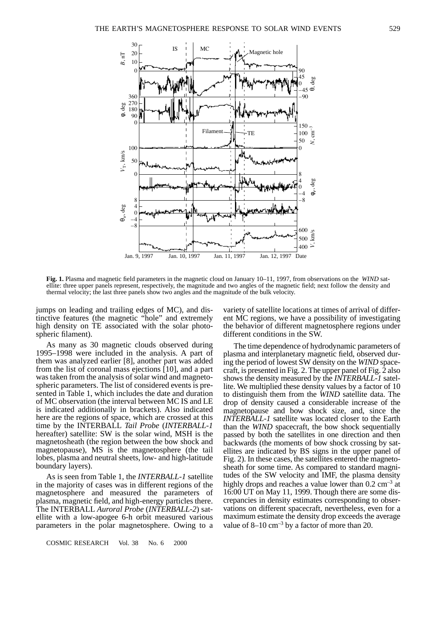

**Fig. 1.** Plasma and magnetic field parameters in the magnetic cloud on January 10–11, 1997, from observations on the *WIND* satellite: three upper panels represent, respectively, the magnitude and two angles of the magnetic field; next follow the density and thermal velocity; the last three panels show two angles and the magnitude of the bulk velocity.

jumps on leading and trailing edges of MC), and distinctive features (the magnetic "hole" and extremely high density on TE associated with the solar photospheric filament).

As many as 30 magnetic clouds observed during 1995–1998 were included in the analysis. A part of them was analyzed earlier [8], another part was added from the list of coronal mass ejections [10], and a part was taken from the analysis of solar wind and magnetospheric parameters. The list of considered events is presented in Table 1, which includes the date and duration of MC observation (the interval between MC IS and LE is indicated additionally in brackets). Also indicated here are the regions of space, which are crossed at this time by the INTERBALL *Tail Probe* (*INTERBALL-1* hereafter) satellite: SW is the solar wind, MSH is the magnetosheath (the region between the bow shock and magnetopause), MS is the magnetosphere (the tail lobes, plasma and neutral sheets, low- and high-latitude boundary layers).

As is seen from Table 1, the *INTERBALL-1* satellite in the majority of cases was in different regions of the magnetosphere and measured the parameters of plasma, magnetic field, and high-energy particles there. The INTERBALL *Auroral Probe* (*INTERBALL-2*) satellite with a low-apogee 6-h orbit measured various parameters in the polar magnetosphere. Owing to a

COSMIC RESEARCH Vol. 38 No. 6 2000

variety of satellite locations at times of arrival of differ- ent MC regions, we have a possibility of investigating the behavior of different magnetosphere regions under different conditions in the SW.

The time dependence of hydrodynamic parameters of plasma and interplanetary magnetic field, observed dur- ing the period of lowest SW density on the *WIND* spacecraft, is presented in Fig. 2. The upper panel of Fig. 2 also shows the density measured by the *INTERBALL-1* satellite. We multiplied these density values by a factor of 10 to distinguish them from the *WIND* satellite data. The drop of density caused a considerable increase of the magnetopause and bow shock size, and, since the *INTERBALL-1* satellite was located closer to the Earth than the *WIND* spacecraft, the bow shock sequentially passed by both the satellites in one direction and then backwards (the moments of bow shock crossing by satellites are indicated by BS signs in the upper panel of Fig. 2). In these cases, the satellites entered the magnetosheath for some time. As compared to standard magnitudes of the SW velocity and IMF, the plasma density highly drops and reaches a value lower than  $0.2 \text{ cm}^{-3}$  at 16:00 UT on May 11, 1999. Though there are some discrepancies in density estimates corresponding to obser- vations on different spacecraft, nevertheless, even for a maximum estimate the density drop exceeds the average value of  $8-10$  cm<sup>-3</sup> by a factor of more than 20.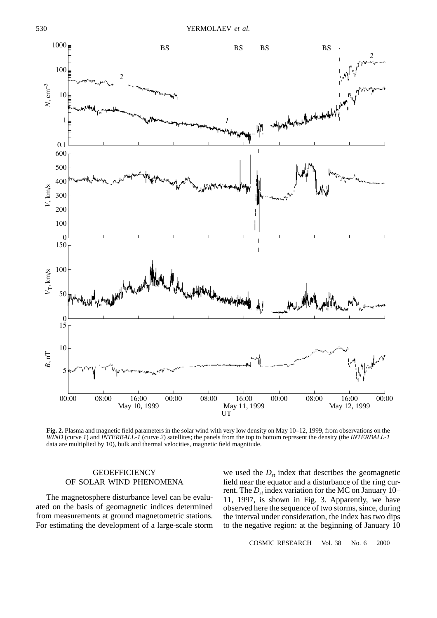

**Fig. 2.** Plasma and magnetic field parameters in the solar wind with very low density on May 10–12, 1999, from observations on the *WIND* (curve *1*) and *INTERBALL-1* (curve *2*) satellites; the panels from the top to bottom represent the density (the *INTERBALL-1* data are multiplied by 10), bulk and thermal velocities, magnetic field magnitude.

# **GEOEFFICIENCY** OF SOLAR WIND PHENOMENA

The magnetosphere disturbance level can be evaluated on the basis of geomagnetic indices determined from measurements at ground magnetometric stations. For estimating the development of a large-scale storm

we used the  $D_{st}$  index that describes the geomagnetic field near the equator and a disturbance of the ring current. The  $D_{st}$  index variation for the MC on January 10– 11, 1997, is shown in Fig. 3. Apparently, we have observed here the sequence of two storms, since, during the interval under consideration, the index has two dips to the negative region: at the beginning of January  $\overline{10}$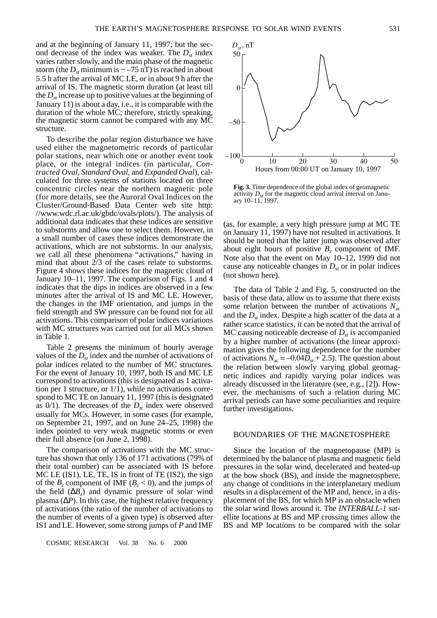and at the beginning of January 11, 1997; but the second decrease of the index was weaker. The  $D_{st}$  index varies rather slowly, and the main phase of the magnetic storm (the  $D_{st}$  minimum is  $\sim -75$  nT) is reached in about 5.5 h after the arrival of MC LE, or in about 9 h after the arrival of IS. The magnetic storm duration (at least till the  $D_{st}$  increase up to positive values at the beginning of January 11) is about a day, i.e., it is comparable with the duration of the whole MC; therefore, strictly speaking, the magnetic storm cannot be compared with any MC structure.

To describe the polar region disturbance we have used either the magnetometric records of particular polar stations, near which one or another event took place, or the integral indices (in particular, *Contracted Oval*, *Standard Oval*, and *Expanded Oval*), calculated for three systems of stations located on three concentric circles near the northern magnetic pole (for more details, see the Auroral Oval Indices on the Cluster/Ground-Based Data Center web site http: //www.wdc.rl.ac.uk/gbdc/ovals/plots/). The analysis of additional data indicates that these indices are sensitive to substorms and allow one to select them. However, in a small number of cases these indices demonstrate the activations, which are not substorms. In our analysis, we call all these phenomena "activations," having in mind that about  $2/3$  of the cases relate to substorms. Figure 4 shows these indices for the magnetic cloud of January 10–11, 1997. The comparison of Figs. 1 and 4 indicates that the dips in indices are observed in a few minutes after the arrival of IS and MC LE. However, the changes in the IMF orientation, and jumps in the field strength and SW pressure can be found not for all activations. This comparison of polar indices variations with MC structures was carried out for all MCs shown in Table 1.

Table 2 presents the minimum of hourly average values of the  $D_{st}$  index and the number of activations of polar indices related to the number of MC structures. For the event of January 10, 1997, both IS and MC LE correspond to activations (this is designated as 1 activation per 1 structure, or 1/1), while no activations correspond to MC TE on January 11, 1997 (this is designated as  $0/1$ ). The decreases of the  $D_{st}$  index were observed usually for MCs. However, in some cases (for example, on September 21, 1997, and on June 24–25, 1998) the index pointed to very weak magnetic storms or even their full absence (on June 2, 1998).

The comparison of activations with the MC structure has shown that only 136 of 171 activations (79% of their total number) can be associated with IS before MC LE (IS1), LE, TE, IS in front of TE (IS2), the sign of the  $B_z$  component of IMF ( $B_z < 0$ ), and the jumps of the field  $(\Delta B_z)$  and dynamic pressure of solar wind plasma  $(\Delta P)$ . In this case, the highest relative frequency of activations (the ratio of the number of activations to the number of events of a given type) is observed after IS1 and LE. However, some strong jumps of *P* and IMF

COSMIC RESEARCH Vol. 38 No. 6 2000



**Fig. 3.** Time dependence of the global index of geomagnetic activity  $D_{st}$  for the magnetic cloud arrival interval on January 10–11, 1997.

(as, for example, a very high pressure jump at MC TE on January 11, 1997) have not resulted in activations. It should be noted that the latter jump was observed after about eight hours of positive  $B_z$  component of IMF. Note also that the event on May 10–12, 1999 did not cause any noticeable changes in  $D_{st}$  or in polar indices (not shown here).

The data of Table 2 and Fig. 5, constructed on the basis of these data, allow us to assume that there exists some relation between the number of activations  $N_{ac}$ and the  $D_{st}$  index. Despite a high scatter of the data at a rather scarce statistics, it can be noted that the arrival of MC causing noticeable decrease of  $D_{st}$  is accompanied by a higher number of activations (the linear approximation gives the following dependence for the number of activations  $N_{ac} = -0.04D_{st} + 2.5$ . The question about the relation between slowly varying global geomagnetic indices and rapidly varying polar indices was already discussed in the literature (see, e.g., [2]). However, the mechanisms of such a relation during MC arrival periods can have some peculiarities and require further investigations.

#### BOUNDARIES OF THE MAGNETOSPHERE

Since the location of the magnetopause (MP) is determined by the balance of plasma and magnetic field pressures in the solar wind, decelerated and heated-up at the bow shock (BS), and inside the magnetosphere, any change of conditions in the interplanetary medium results in a displacement of the MP and, hence, in a displacement of the BS, for which MP is an obstacle when the solar wind flows around it. The *INTERBALL-1* satellite locations at BS and MP crossing times allow the BS and MP locations to be compared with the solar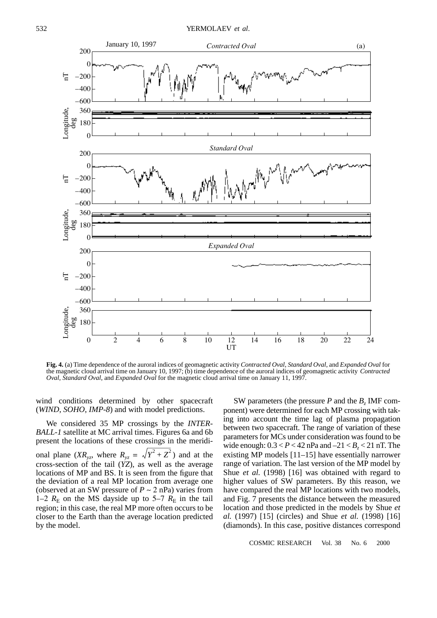

**Fig. 4.** (a) Time dependence of the auroral indices of geomagnetic activity *Contracted Oval*, *Standard Oval*, and *Expanded Oval* for the magnetic cloud arrival time on January 10, 1997; (b) time dependence of the auroral indices of geomagnetic activity *Contracted Oval*, *Standard Oval*, and *Expanded Oval* for the magnetic cloud arrival time on January 11, 1997.

wind conditions determined by other spacecraft (*WIND*, *SOHO*, *IMP-8*) and with model predictions.

We considered 35 MP crossings by the *INTER-BALL-1* satellite at MC arrival times. Figures 6a and 6b present the locations of these crossings in the meridional plane  $(XR_{yz}, \text{ where } R_{yz} = \sqrt{Y^2 + Z^2}$  and at the cross-section of the tail (*YZ*), as well as the average locations of MP and BS. It is seen from the figure that the deviation of a real MP location from average one (observed at an SW pressure of  $P \sim 2$  nPa) varies from 1–2  $R_{\rm E}$  on the MS dayside up to 5–7  $R_{\rm E}$  in the tail region; in this case, the real MP more often occurs to be closer to the Earth than the average location predicted by the model.

SW parameters (the pressure  $P$  and the  $B_z$  IMF component) were determined for each MP crossing with taking into account the time lag of plasma propagation between two spacecraft. The range of variation of these parameters for MCs under consideration was found to be wide enough:  $0.3 < P < 42$  nPa and  $-21 < B< 21$  nT. The existing MP models [11–15] have essentially narrower range of variation. The last version of the MP model by Shue *et al.* (1998) [16] was obtained with regard to higher values of SW parameters. By this reason, we have compared the real MP locations with two models, and Fig. 7 presents the distance between the measured location and those predicted in the models by Shue *et al.* (1997) [15] (circles) and Shue *et al.* (1998) [16] (diamonds). In this case, positive distances correspond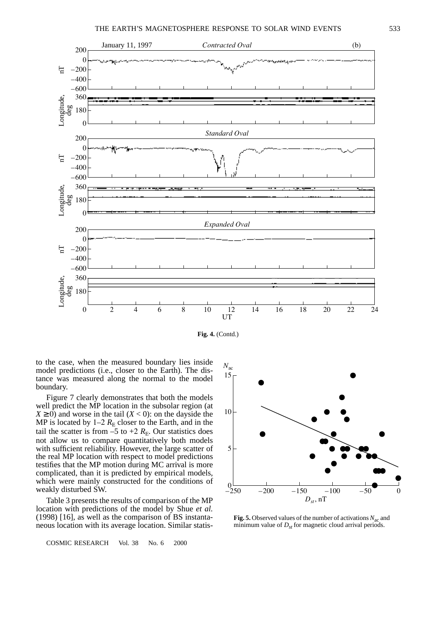

**Fig. 4.** (Contd.)

to the case, when the measured boundary lies inside model predictions (i.e., closer to the Earth). The distance was measured along the normal to the model boundary.

Figure 7 clearly demonstrates that both the models well predict the MP location in the subsolar region (at  $X \ge 0$ ) and worse in the tail  $(X < 0)$ : on the dayside the MP is located by  $1-2 R<sub>E</sub>$  closer to the Earth, and in the tail the scatter is from  $-5$  to  $+2 R_E$ . Our statistics does not allow us to compare quantitatively both models with sufficient reliability. However, the large scatter of the real MP location with respect to model predictions testifies that the MP motion during MC arrival is more complicated, than it is predicted by empirical models, which were mainly constructed for the conditions of weakly disturbed SW.

Table 3 presents the results of comparison of the MP location with predictions of the model by Shue *et al.* (1998) [16], as well as the comparison of BS instantaneous location with its average location. Similar statis-



**Fig. 5.** Observed values of the number of activations  $N_{ac}$  and minimum value of  $D_{st}$  for magnetic cloud arrival periods.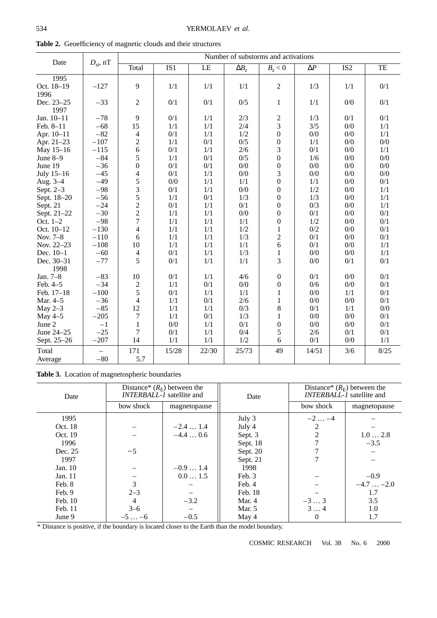| Date               | $D_{st}$ , nT | Number of substorms and activations |                  |       |              |                  |            |                 |       |  |
|--------------------|---------------|-------------------------------------|------------------|-------|--------------|------------------|------------|-----------------|-------|--|
|                    |               | Total                               | $\overline{IS1}$ | LE    | $\Delta B_z$ | $B_z < 0$        | $\Delta P$ | IS <sub>2</sub> | TE    |  |
| 1995               |               |                                     |                  |       |              |                  |            |                 |       |  |
| Oct. 18-19         | $-127$        | 9                                   | 1/1              | 1/1   | 1/1          | $\overline{2}$   | 1/3        | 1/1             | 0/1   |  |
| 1996               |               |                                     |                  |       |              |                  |            |                 |       |  |
| Dec. 23-25<br>1997 | $-33$         | $\overline{2}$                      | 0/1              | 0/1   | 0/5          | 1                | 1/1        | 0/0             | 0/1   |  |
| Jan. 10-11         | $-78$         | 9                                   | 0/1              | 1/1   | 2/3          | $\overline{c}$   | 1/3        | 0/1             | 0/1   |  |
| Feb. 8-11          | $-68$         | 15                                  | 1/1              | 1/1   | 2/4          | 3                | 3/5        | 0/0             | 1/1   |  |
| Apr. 10-11         | $-82$         | $\overline{4}$                      | 0/1              | 1/1   | 1/2          | $\boldsymbol{0}$ | 0/0        | 0/0             | 1/1   |  |
| Apr. 21-23         | $-107$        | $\overline{c}$                      | 1/1              | 0/1   | 0/5          | $\overline{0}$   | 1/1        | 0/0             | 0/0   |  |
| May 15-16          | $-115$        | 6                                   | 0/1              | 1/1   | 2/6          | 3                | 0/1        | 0/0             | 1/1   |  |
| June 8-9           | $-84$         | 5                                   | 1/1              | 0/1   | 0/5          | $\mathbf{0}$     | 1/6        | 0/0             | 0/0   |  |
| June 19            | $-36$         | $\boldsymbol{0}$                    | 0/1              | 0/1   | 0/0          | 0                | 0/0        | 0/0             | $0/0$ |  |
| July 15-16         | $-45$         | 4                                   | 0/1              | 1/1   | 0/0          | 3                | 0/0        | 0/0             | 0/0   |  |
| Aug. 3-4           | $-49$         | 5                                   | 0/0              | 1/1   | 1/1          | $\theta$         | 1/1        | 0/0             | 0/1   |  |
| Sept. 2-3          | $-98$         | 3                                   | 0/1              | 1/1   | 0/0          | $\boldsymbol{0}$ | 1/2        | 0/0             | 1/1   |  |
| Sept. 18-20        | $-56$         | 5                                   | 1/1              | 0/1   | 1/3          | $\boldsymbol{0}$ | 1/3        | $0/0$           | 1/1   |  |
| Sept. 21           | $-24$         | $\overline{c}$                      | 0/1              | 1/1   | 0/1          | $\boldsymbol{0}$ | 0/3        | 0/0             | 1/1   |  |
| Sept. 21-22        | $-30$         | $\overline{c}$                      | 1/1              | 1/1   | 0/0          | $\mathbf{0}$     | 0/1        | 0/0             | 0/1   |  |
| Oct. 1-2           | $-98$         | $\overline{7}$                      | 1/1              | 1/1   | 1/1          | $\overline{0}$   | 1/2        | 0/0             | 0/1   |  |
| Oct. 10-12         | $-130$        | 4                                   | 1/1              | 1/1   | 1/2          | 1                | 0/2        | 0/0             | 0/1   |  |
| Nov. 7-8           | $-110$        | 6                                   | 1/1              | 1/1   | 1/3          | $\overline{2}$   | 0/1        | 0/0             | 0/1   |  |
| Nov. 22-23         | $-108$        | 10                                  | 1/1              | 1/1   | 1/1          | 6                | 0/1        | 0/0             | 1/1   |  |
| Dec. 10-1          | $-60$         | 4                                   | 0/1              | 1/1   | 1/3          | 1                | 0/0        | 0/0             | 1/1   |  |
| Dec. 30-31         | $-77$         | 5                                   | 0/1              | 1/1   | 1/1          | 3                | 0/0        | 0/1             | 0/1   |  |
| 1998               |               |                                     |                  |       |              |                  |            |                 |       |  |
| Jan. 7-8           | $-83$         | 10                                  | 0/1              | 1/1   | 4/6          | $\boldsymbol{0}$ | 0/1        | 0/0             | 0/1   |  |
| Feb. 4-5           | $-34$         | 2                                   | 1/1              | 0/1   | 0/0          | $\boldsymbol{0}$ | 0/6        | 0/0             | 0/1   |  |
| Feb. 17-18         | $-100$        | 5                                   | 0/1              | 1/1   | 1/1          | 1                | 0/0        | 1/1             | 0/1   |  |
| Mar. 4-5           | $-36$         | 4                                   | 1/1              | 0/1   | 2/6          | 1                | 0/0        | 0/0             | 0/1   |  |
| May $2-3$          | $-85$         | 12                                  | 1/1              | 1/1   | 0/3          | 8                | 0/1        | 1/1             | 0/0   |  |
| May $4-5$          | $-205$        | 7                                   | 1/1              | 0/1   | 1/3          | 1                | 0/0        | 0/0             | 0/1   |  |
| June 2             | $-1$          | $\mathbf{1}$                        | $0/0$            | 1/1   | 0/1          | $\boldsymbol{0}$ | 0/0        | 0/0             | 0/1   |  |
| June 24-25         | $-25$         | 7                                   | 0/1              | 1/1   | 0/4          | 5                | 2/6        | 0/1             | 0/1   |  |
| Sept. 25-26        | $-207$        | 14                                  | 1/1              | 1/1   | 1/2          | 6                | 0/1        | 0/0             | 1/1   |  |
| Total              | $\equiv$      | 171                                 | 15/28            | 22/30 | 25/73        | 49               | 14/51      | 3/6             | 8/25  |  |
| Average            | $-80$         | 5.7                                 |                  |       |              |                  |            |                 |       |  |

**Table 2.** Geoefficiency of magnetic clouds and their structures

**Table 3.** Location of magnetospheric boundaries

| Date    |           | Distance* $(RE)$ between the<br><i>INTERBALL-1</i> satellite and | Date     | Distance* $(RE)$ between the<br><i>INTERBALL-1</i> satellite and |              |  |
|---------|-----------|------------------------------------------------------------------|----------|------------------------------------------------------------------|--------------|--|
|         | bow shock | magnetopause                                                     |          | bow shock                                                        | magnetopause |  |
| 1995    |           |                                                                  | July 3   | $-2-4$                                                           |              |  |
| Oct. 18 |           | $-2.41.4$                                                        | July 4   | 2                                                                |              |  |
| Oct. 19 |           | $-4.40.6$                                                        | Sept. 3  |                                                                  | 1.02.8       |  |
| 1996    |           |                                                                  | Sept. 18 |                                                                  | $-3.5$       |  |
| Dec. 25 | ~5        |                                                                  | Sept. 20 |                                                                  |              |  |
| 1997    |           |                                                                  | Sept. 21 |                                                                  |              |  |
| Jan. 10 |           | $-0.91.4$                                                        | 1998     |                                                                  |              |  |
| Jan. 11 |           | 0.01.5                                                           | Feb. 3   |                                                                  | $-0.9$       |  |
| Feb. 8  | 3         |                                                                  | Feb. 4   |                                                                  | $-4.7-2.0$   |  |
| Feb. 9  | $2 - 3$   |                                                                  | Feb. 18  |                                                                  | 1.7          |  |
| Feb. 10 | 4         | $-3.2$                                                           | Mar. $4$ | $-33$                                                            | 3.5          |  |
| Feb. 11 | $3 - 6$   |                                                                  | Mar. $5$ | 34                                                               | 1.0          |  |
| June 9  | $-5 -6$   | $-0.5$                                                           | May 4    | $\Omega$                                                         | 1.7          |  |

\* Distance is positive, if the boundary is located closer to the Earth than the model boundary.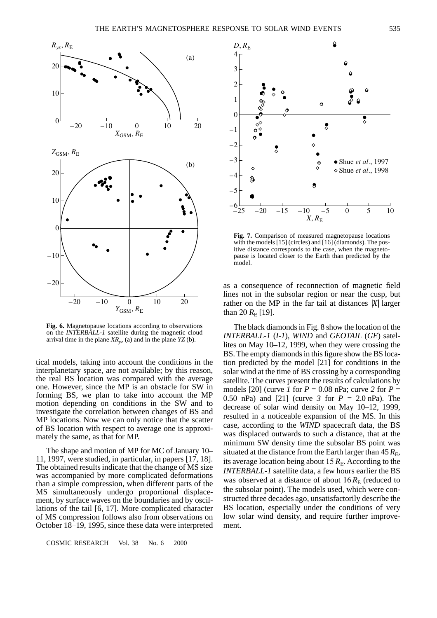

**Fig. 6.** Magnetopause locations according to observations on the *INTERBALL-1* satellite during the magnetic cloud arrival time in the plane *XRyz* (a) and in the plane *YZ* (b).

tical models, taking into account the conditions in the interplanetary space, are not available; by this reason, the real BS location was compared with the average one. However, since the MP is an obstacle for SW in forming BS, we plan to take into account the MP motion depending on conditions in the SW and to investigate the correlation between changes of BS and MP locations. Now we can only notice that the scatter of BS location with respect to average one is approximately the same, as that for MP.

The shape and motion of MP for MC of January 10– 11, 1997, were studied, in particular, in papers [17, 18]. The obtained results indicate that the change of MS size was accompanied by more complicated deformations than a simple compression, when different parts of the MS simultaneously undergo proportional displacement, by surface waves on the boundaries and by oscillations of the tail [6, 17]. More complicated character of MS compression follows also from observations on October 18–19, 1995, since these data were interpreted

COSMIC RESEARCH Vol. 38 No. 6 2000



**Fig. 7.** Comparison of measured magnetopause locations with the models [15] (circles) and [16] (diamonds). The positive distance corresponds to the case, when the magnetopause is located closer to the Earth than predicted by the model.

as a consequence of reconnection of magnetic field lines not in the subsolar region or near the cusp, but rather on the MP in the far tail at distances |*X*| larger than 20  $R_E$  [19].

The black diamonds in Fig. 8 show the location of the *INTERBALL-1* (*I-1*), *WIND* and *GEOTAIL* (*GE*) satellites on May 10–12, 1999, when they were crossing the BS. The empty diamonds in this figure show the BS location predicted by the model [21] for conditions in the solar wind at the time of BS crossing by a corresponding satellite. The curves present the results of calculations by models [20] (curve *1* for  $P = 0.08$  nPa; curve 2 for  $P =$ 0.50 nPa) and [21] (curve *3* for *P* = 2.0 nPa). The decrease of solar wind density on May 10–12, 1999, resulted in a noticeable expansion of the MS. In this case, according to the *WIND* spacecraft data, the BS was displaced outwards to such a distance, that at the minimum SW density time the subsolar BS point was situated at the distance from the Earth larger than  $45 R<sub>E</sub>$ , its average location being about 15  $R<sub>E</sub>$ . According to the *INTERBALL-1* satellite data, a few hours earlier the BS was observed at a distance of about  $16 R<sub>E</sub>$  (reduced to the subsolar point). The models used, which were constructed three decades ago, unsatisfactorily describe the BS location, especially under the conditions of very low solar wind density, and require further improvement.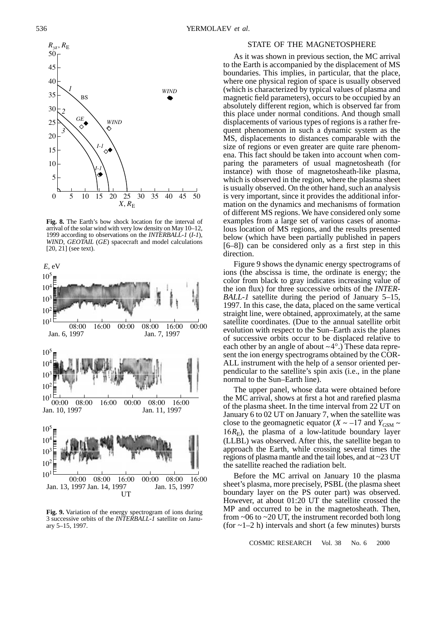

**Fig. 8.** The Earth's bow shock location for the interval of arrival of the solar wind with very low density on May 10–12, 1999 according to observations on the *INTERBALL-1* (*I-1*), *WIND*, *GEOTAIL* (*GE*) spacecraft and model calculations [20, 21] (see text).



**Fig. 9.** Variation of the energy spectrogram of ions during 3 successive orbits of the *INTERBALL-1* satellite on January 5–15, 1997.

### STATE OF THE MAGNETOSPHERE

As it was shown in previous section, the MC arrival to the Earth is accompanied by the displacement of MS boundaries. This implies, in particular, that the place, where one physical region of space is usually observed (which is characterized by typical values of plasma and magnetic field parameters), occurs to be occupied by an absolutely different region, which is observed far from this place under normal conditions. And though small displacements of various types of regions is a rather frequent phenomenon in such a dynamic system as the MS, displacements to distances comparable with the size of regions or even greater are quite rare phenomena. This fact should be taken into account when comparing the parameters of usual magnetosheath (for instance) with those of magnetosheath-like plasma, which is observed in the region, where the plasma sheet is usually observed. On the other hand, such an analysis is very important, since it provides the additional information on the dynamics and mechanisms of formation of different MS regions. We have considered only some examples from a large set of various cases of anomalous location of MS regions, and the results presented below (which have been partially published in papers [6–8]) can be considered only as a first step in this direction.

Figure 9 shows the dynamic energy spectrograms of ions (the abscissa is time, the ordinate is energy; the color from black to gray indicates increasing value of the ion flux) for three successive orbits of the *INTER-BALL-1* satellite during the period of January 5–15, 1997. In this case, the data, placed on the same vertical straight line, were obtained, approximately, at the same satellite coordinates. (Due to the annual satellite orbit evolution with respect to the Sun–Earth axis the planes of successive orbits occur to be displaced relative to each other by an angle of about  $\sim$  4°.) These data represent the ion energy spectrograms obtained by the COR-ALL instrument with the help of a sensor oriented perpendicular to the satellite's spin axis (i.e., in the plane normal to the Sun–Earth line).

The upper panel, whose data were obtained before the MC arrival, shows at first a hot and rarefied plasma of the plasma sheet. In the time interval from 22 UT on January 6 to 02 UT on January 7, when the satellite was close to the geomagnetic equator ( $X \sim -17$  and  $Y_{\text{GSM}} \sim$  $16R<sub>E</sub>$ ), the plasma of a low-latitude boundary layer (LLBL) was observed. After this, the satellite began to approach the Earth, while crossing several times the regions of plasma mantle and the tail lobes, and at ~23 UT the satellite reached the radiation belt.

Before the MC arrival on January 10 the plasma sheet's plasma, more precisely, PSBL (the plasma sheet boundary layer on the PS outer part) was observed. However, at about 01:20 UT the satellite crossed the MP and occurred to be in the magnetosheath. Then, from ~06 to ~20 UT, the instrument recorded both long (for  $\sim$ 1–2 h) intervals and short (a few minutes) bursts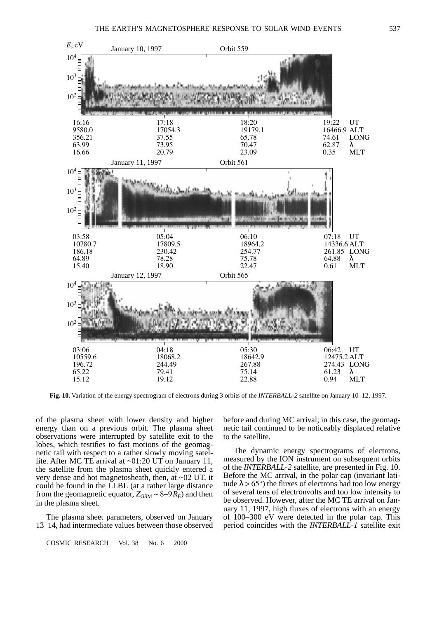

**Fig. 10.** Variation of the energy spectrogram of electrons during 3 orbits of the *INTERBALL-2* satellite on January 10–12, 1997.

of the plasma sheet with lower density and higher energy than on a previous orbit. The plasma sheet observations were interrupted by satellite exit to the lobes, which testifies to fast motions of the geomagnetic tail with respect to a rather slowly moving satellite. After MC TE arrival at ~01:20 UT on January 11, the satellite from the plasma sheet quickly entered a very dense and hot magnetosheath, then, at ~02 UT, it could be found in the LLBL (at a rather large distance from the geomagnetic equator,  $Z_{\text{GSM}} \sim 8-9R_{\text{E}}$ ) and then in the plasma sheet.

The plasma sheet parameters, observed on January 13–14, had intermediate values between those observed

COSMIC RESEARCH Vol. 38 No. 6 2000

before and during MC arrival; in this case, the geomagnetic tail continued to be noticeably displaced relative to the satellite.

The dynamic energy spectrograms of electrons, measured by the ION instrument on subsequent orbits of the *INTERBALL-2* satellite, are presented in Fig. 10. Before the MC arrival, in the polar cap (invariant latitude  $\lambda > 65^{\circ}$  the fluxes of electrons had too low energy of several tens of electronvolts and too low intensity to be observed. However, after the MC TE arrival on January 11, 1997, high fluxes of electrons with an energy of 100–300 eV were detected in the polar cap. This period coincides with the *INTERBALL-1* satellite exit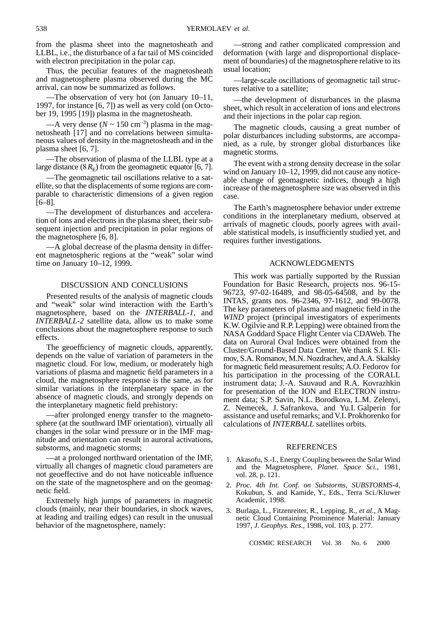from the plasma sheet into the magnetosheath and LLBL, i.e., the disturbance of a far tail of MS coincided with electron precipitation in the polar cap.

Thus, the peculiar features of the magnetosheath and magnetosphere plasma observed during the MC arrival, can now be summarized as follows.

—The observation of very hot (on January 10–11, 1997, for instance [6, 7]) as well as very cold (on October 19, 1995 [19]) plasma in the magnetosheath.

—A very dense ( $N \sim 150$  cm<sup>-3</sup>) plasma in the magnetosheath [17] and no correlations between simultaneous values of density in the magnetosheath and in the plasma sheet [6, 7].

—The observation of plasma of the LLBL type at a large distance  $(8R<sub>E</sub>)$  from the geomagnetic equator [6, 7].

—The geomagnetic tail oscillations relative to a satellite, so that the displacements of some regions are comparable to characteristic dimensions of a given region [6–8].

—The development of disturbances and acceleration of ions and electrons in the plasma sheet, their subsequent injection and precipitation in polar regions of the magnetosphere [6, 8].

—A global decrease of the plasma density in different magnetospheric regions at the "weak" solar wind time on January 10–12, 1999.

## DISCUSSION AND CONCLUSIONS

Presented results of the analysis of magnetic clouds and "weak" solar wind interaction with the Earth's magnetosphere, based on the *INTERBALL-1*, and *INTERBALL-2* satellite data, allow us to make some conclusions about the magnetosphere response to such effects.

The geoefficiency of magnetic clouds, apparently, depends on the value of variation of parameters in the magnetic cloud. For low, medium, or moderately high variations of plasma and magnetic field parameters in a cloud, the magnetosphere response is the same, as for similar variations in the interplanetary space in the absence of magnetic clouds, and strongly depends on the interplanetary magnetic field prehistory:

—after prolonged energy transfer to the magnetosphere (at the southward IMF orientation), virtually all changes in the solar wind pressure or in the IMF magnitude and orientation can result in auroral activations, substorms, and magnetic storms;

—at a prolonged northward orientation of the IMF, virtually all changes of magnetic cloud parameters are not geoeffective and do not have noticeable influence on the state of the magnetosphere and on the geomagnetic field.

Extremely high jumps of parameters in magnetic clouds (mainly, near their boundaries, in shock waves, at leading and trailing edges) can result in the unusual behavior of the magnetosphere, namely:

—strong and rather complicated compression and deformation (with large and disproportional displacement of boundaries) of the magnetosphere relative to its usual location;

—large-scale oscillations of geomagnetic tail structures relative to a satellite;

—the development of disturbances in the plasma sheet, which result in acceleration of ions and electrons and their injections in the polar cap region.

The magnetic clouds, causing a great number of polar disturbances including substorms, are accompanied, as a rule, by stronger global disturbances like magnetic storms.

The event with a strong density decrease in the solar wind on January 10–12, 1999, did not cause any noticeable change of geomagnetic indices, though a high increase of the magnetosphere size was observed in this case.

The Earth's magnetosphere behavior under extreme conditions in the interplanetary medium, observed at arrivals of magnetic clouds, poorly agrees with available statistical models, is insufficiently studied yet, and requires further investigations.

#### ACKNOWLEDGMENTS

This work was partially supported by the Russian Foundation for Basic Research, projects nos. 96-15- 96723, 97-02-16489, and 98-05-64508, and by the INTAS, grants nos. 96-2346, 97-1612, and 99-0078. The key parameters of plasma and magnetic field in the *WIND* project (principal investigators of experiments K.W. Ogilvie and R.P. Lepping) were obtained from the NASA Goddard Space Flight Center via CDAWeb. The data on Auroral Oval Indices were obtained from the Cluster/Ground-Based Data Center. We thank S.I. Klimov, S.A. Romanov, M.N. Nozdrachev, and A.A. Skalsky for magnetic field measurement results; A.O. Fedorov for his participation in the processing of the CORALL instrument data; J.-A. Sauvaud and R.A. Kovrazhkin for presentation of the ION and ELECTRON instrument data; S.P. Savin, N.L. Borodkova, L.M. Zelenyi, Z. Nemecek, J. Safrankova, and Yu.I. Galperin for assistance and useful remarks; and V.I. Prokhorenko for calculations of *INTERBALL* satellites orbits.

#### **REFERENCES**

- 1. Akasofu, S.-I., Energy Coupling between the Solar Wind and the Magnetosphere, *Planet. Space Sci.*, 1981, vol. 28, p. 121.
- 2. *Proc. 4th Int. Conf. on Substorms, SUBSTORMS-4*, Kokubun, S. and Kamide, Y., Eds., Terra Sci./Kluwer Academic, 1998.
- 3. Burlaga, L., Fitzenreiter, R., Lepping, R., *et al.*, A Magnetic Cloud Containing Prominence Material: January 1997, *J. Geophys. Res.*, 1998, vol. 103, p. 277.